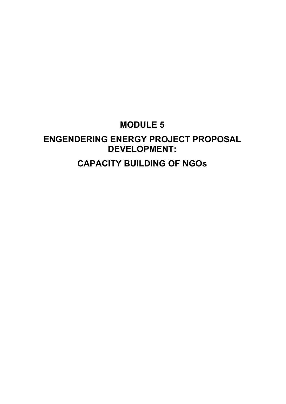### **MODULE 5**

# **ENGENDERING ENERGY PROJECT PROPOSAL DEVELOPMENT:**

**CAPACITY BUILDING OF NGOs**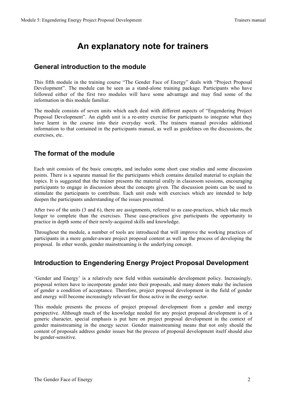### **An explanatory note for trainers**

### **General introduction to the module**

This fifth module in the training course "The Gender Face of Energy" deals with "Project Proposal Development". The module can be seen as a stand-alone training package. Participants who have followed either of the first two modules will have some advantage and may find some of the information in this module familiar.

The module consists of seven units which each deal with different aspects of "Engendering Project Proposal Development". An eighth unit is a re-entry exercise for participants to integrate what they have learnt in the course into their everyday work. The trainers manual provides additional information to that contained in the participants manual, as well as guidelines on the discussions, the exercises, etc.

### **The format of the module**

Each unit consists of the basic concepts, and includes some short case studies and some discussion points. There is a separate manual for the participants which contains detailed material to explain the topics. It is suggested that the trainer presents the material orally in classroom sessions, encouraging participants to engage in discussion about the concepts given. The discussion points can be used to stimulate the participants to contribute. Each unit ends with exercises which are intended to help deepen the participants understanding of the issues presented.

After two of the units (3 and 6), there are assignments, referred to as case-practices, which take much longer to complete than the exercises. These case-practices give participants the opportunity to practice in depth some of their newly-acquired skills and knowledge.

Throughout the module, a number of tools are introduced that will improve the working practices of participants in a more gender-aware project proposal content as well as the process of developing the proposal. In other words, gender mainstreaming is the underlying concept.

### **Introduction to Engendering Energy Project Proposal Development**

'Gender and Energy' is a relatively new field within sustainable development policy. Increasingly, proposal writers have to incorporate gender into their proposals, and many donors make the inclusion of gender a condition of acceptance. Therefore, project proposal development in the field of gender and energy will become increasingly relevant for those active in the energy sector.

This module presents the process of project proposal development from a gender and energy perspective. Although much of the knowledge needed for any project proposal development is of a generic character, special emphasis is put here on project proposal development in the context of gender mainstreaming in the energy sector. Gender mainstreaming means that not only should the content of proposals address gender issues but the process of proposal development itself should also be gender-sensitive.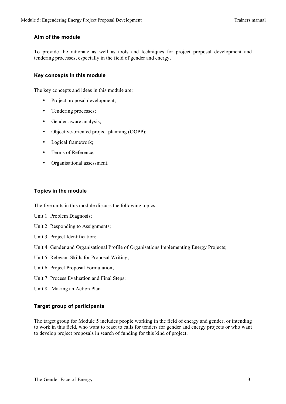#### **Aim of the module**

To provide the rationale as well as tools and techniques for project proposal development and tendering processes, especially in the field of gender and energy.

#### **Key concepts in this module**

The key concepts and ideas in this module are:

- Project proposal development;
- Tendering processes;
- Gender-aware analysis;
- Objective-oriented project planning (OOPP);
- Logical framework;
- Terms of Reference;
- Organisational assessment.

#### **Topics in the module**

The five units in this module discuss the following topics:

- Unit 1: Problem Diagnosis;
- Unit 2: Responding to Assignments;
- Unit 3: Project Identification;
- Unit 4: Gender and Organisational Profile of Organisations Implementing Energy Projects;
- Unit 5: Relevant Skills for Proposal Writing;
- Unit 6: Project Proposal Formulation;
- Unit 7: Process Evaluation and Final Steps;
- Unit 8: Making an Action Plan

#### **Target group of participants**

The target group for Module 5 includes people working in the field of energy and gender, or intending to work in this field, who want to react to calls for tenders for gender and energy projects or who want to develop project proposals in search of funding for this kind of project.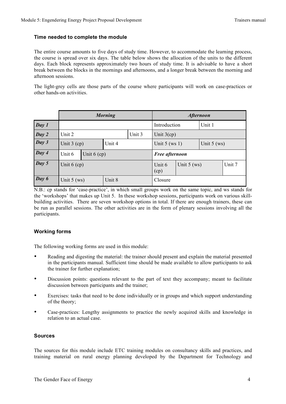#### **Time needed to complete the module**

The entire course amounts to five days of study time. However, to accommodate the learning process, the course is spread over six days. The table below shows the allocation of the units to the different days. Each block represents approximately two hours of study time. It is advisable to have a short break between the blocks in the mornings and afternoons, and a longer break between the morning and afternoon sessions.

The light-grey cells are those parts of the course where participants will work on case-practices or other hands-on activities.

|       | <b>Morning</b>          |  |        |        | <b>Afternoon</b> |               |               |        |
|-------|-------------------------|--|--------|--------|------------------|---------------|---------------|--------|
| Day 1 |                         |  |        |        | Introduction     |               | Unit 1        |        |
| Day 2 | Unit 2                  |  |        | Unit 3 | Unit $3$ (cp)    |               |               |        |
| Day 3 | Unit $3$ (cp)           |  | Unit 4 |        | Unit $5$ (ws 1)  |               | Unit $5$ (ws) |        |
| Day 4 | Unit 6<br>Unit $6$ (cp) |  |        |        | Free afternoon   |               |               |        |
| Day 5 | Unit $6$ (cp)           |  |        |        | Unit 6<br>(cp)   | Unit $5$ (ws) |               | Unit 7 |
| Day 6 | Unit 8<br>Unit $5$ (ws) |  |        |        | Closure          |               |               |        |

N.B.: cp stands for 'case-practice', in which small groups work on the same topic, and ws stands for the 'workshops' that makes up Unit 5. In these workshop sessions, participants work on various skillbuilding activities. There are seven workshop options in total. If there are enough trainers, these can be run as parallel sessions. The other activities are in the form of plenary sessions involving all the participants.

#### **Working forms**

The following working forms are used in this module:

- Reading and digesting the material: the trainer should present and explain the material presented in the participants manual. Sufficient time should be made available to allow participants to ask the trainer for further explanation;
- Discussion points: questions relevant to the part of text they accompany; meant to facilitate discussion between participants and the trainer;
- Exercises: tasks that need to be done individually or in groups and which support understanding of the theory;
- Case-practices: Lengthy assignments to practice the newly acquired skills and knowledge in relation to an actual case.

#### **Sources**

The sources for this module include ETC training modules on consultancy skills and practices, and training material on rural energy planning developed by the Department for Technology and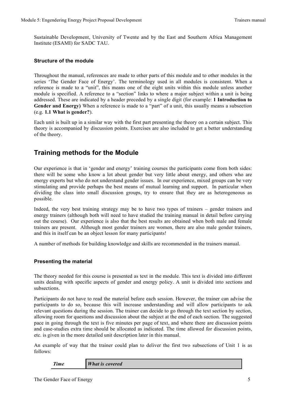Sustainable Development, University of Twente and by the East and Southern Africa Management Institute (ESAMI) for SADC TAU.

#### **Structure of the module**

Throughout the manual, references are made to other parts of this module and to other modules in the series 'The Gender Face of Energy'. The terminology used in all modules is consistent. When a reference is made to a "unit", this means one of the eight units within this module unless another module is specified. A reference to a "section" links to where a major subject within a unit is being addressed. These are indicated by a header preceded by a single digit (for example: **1 Introduction to Gender and Energy)** When a reference is made to a "part" of a unit, this usually means a subsection (e.g. **1.1 What is gender?**).

Each unit is built up in a similar way with the first part presenting the theory on a certain subject. This theory is accompanied by discussion points. Exercises are also included to get a better understanding of the theory.

### **Training methods for the Module**

Our experience is that in 'gender and energy' training courses the participants come from both sides: there will be some who know a lot about gender but very little about energy, and others who are energy experts but who do not understand gender issues. In our experience, mixed groups can be very stimulating and provide perhaps the best means of mutual learning and support. In particular when dividing the class into small discussion groups, try to ensure that they are as heterogeneous as possible.

Indeed, the very best training strategy may be to have two types of trainers – gender trainers and energy trainers (although both will need to have studied the training manual in detail before carrying out the course). Our experience is also that the best results are obtained when both male and female trainers are present. Although most gender trainers are women, there are also male gender trainers, and this in itself can be an object lesson for many participants!

A number of methods for building knowledge and skills are recommended in the trainers manual.

#### **Presenting the material**

The theory needed for this course is presented as text in the module. This text is divided into different units dealing with specific aspects of gender and energy policy. A unit is divided into sections and subsections.

Participants do not have to read the material before each session. However, the trainer can advise the participants to do so, because this will increase understanding and will allow participants to ask relevant questions during the session. The trainer can decide to go through the text section by section, allowing room for questions and discussion about the subject at the end of each section. The suggested pace in going through the text is five minutes per page of text, and where there are discussion points and case-studies extra time should be allocated as indicated. The time allowed for discussion points, etc. is given in the more detailed unit description later in this manual.

An example of way that the trainer could plan to deliver the first two subsections of Unit 1 is as follows:

*Time What is covered*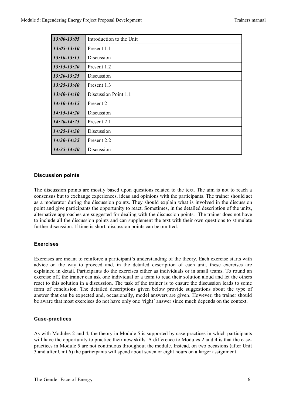| 13:00-13:05     | Introduction to the Unit |
|-----------------|--------------------------|
| $13:05 - 13:10$ | Present 1.1              |
| $13:10-13:15$   | Discussion               |
| $13:15 - 13:20$ | Present 1.2              |
| $13:20 - 13:25$ | Discussion               |
| $13:25 - 13:40$ | Present 1.3              |
| $13:40-14:10$   | Discussion Point 1.1     |
| $14:10-14:15$   | Present 2                |
| $14:15 - 14:20$ | Discussion               |
| $14:20 - 14:25$ | Present 2.1              |
| $14:25 - 14:30$ | Discussion               |
| $14:30-14:35$   | Present 2.2              |
| $14:35 - 14:40$ | Discussion               |

#### **Discussion points**

The discussion points are mostly based upon questions related to the text. The aim is not to reach a consensus but to exchange experiences, ideas and opinions with the participants. The trainer should act as a moderator during the discussion points. They should explain what is involved in the discussion point and give participants the opportunity to react. Sometimes, in the detailed description of the units, alternative approaches are suggested for dealing with the discussion points. The trainer does not have to include all the discussion points and can supplement the text with their own questions to stimulate further discussion. If time is short, discussion points can be omitted.

#### **Exercises**

Exercises are meant to reinforce a participant's understanding of the theory. Each exercise starts with advice on the way to proceed and, in the detailed description of each unit, these exercises are explained in detail. Participants do the exercises either as individuals or in small teams. To round an exercise off, the trainer can ask one individual or a team to read their solution aloud and let the others react to this solution in a discussion. The task of the trainer is to ensure the discussion leads to some form of conclusion. The detailed descriptions given below provide suggestions about the type of answer that can be expected and, occasionally, model answers are given. However, the trainer should be aware that most exercises do not have only one 'right' answer since much depends on the context.

#### **Case-practices**

As with Modules 2 and 4, the theory in Module 5 is supported by case-practices in which participants will have the opportunity to practice their new skills. A difference to Modules 2 and 4 is that the casepractices in Module 5 are not continuous throughout the module. Instead, on two occasions (after Unit 3 and after Unit 6) the participants will spend about seven or eight hours on a larger assignment.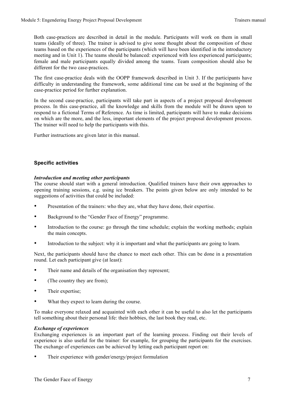Both case-practices are described in detail in the module. Participants will work on them in small teams (ideally of three). The trainer is advised to give some thought about the composition of these teams based on the experiences of the participants (which will have been identified in the introductory meeting and in Unit 1). The teams should be balanced: experienced with less experienced participants; female and male participants equally divided among the teams. Team composition should also be different for the two case-practices.

The first case-practice deals with the OOPP framework described in Unit 3. If the participants have difficulty in understanding the framework, some additional time can be used at the beginning of the case-practice period for further explanation.

In the second case-practice, participants will take part in aspects of a project proposal development process. In this case-practice, all the knowledge and skills from the module will be drawn upon to respond to a fictional Terms of Reference. As time is limited, participants will have to make decisions on which are the more, and the less, important elements of the project proposal development process. The trainer will need to help the participants with this.

Further instructions are given later in this manual.

#### **Specific activities**

#### *Introduction and meeting other participants*

The course should start with a general introduction. Qualified trainers have their own approaches to opening training sessions, e.g. using ice breakers. The points given below are only intended to be suggestions of activities that could be included:

- Presentation of the trainers: who they are, what they have done, their expertise.
- Background to the "Gender Face of Energy" programme.
- Introduction to the course: go through the time schedule; explain the working methods; explain the main concepts.
- Introduction to the subject: why it is important and what the participants are going to learn.

Next, the participants should have the chance to meet each other. This can be done in a presentation round. Let each participant give (at least):

- Their name and details of the organisation they represent;
- (The country they are from);
- Their expertise;
- What they expect to learn during the course.

To make everyone relaxed and acquainted with each other it can be useful to also let the participants tell something about their personal life: their hobbies, the last book they read, etc.

#### *Exchange of experiences*

Exchanging experiences is an important part of the learning process. Finding out their levels of experience is also useful for the trainer: for example, for grouping the participants for the exercises. The exchange of experiences can be achieved by letting each participant report on:

Their experience with gender/energy/project formulation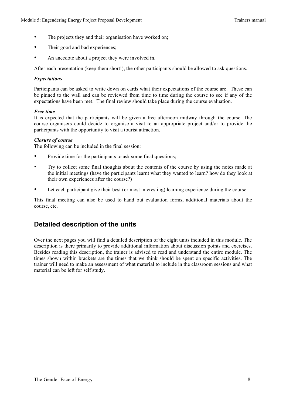- The projects they and their organisation have worked on;
- Their good and bad experiences;
- An anecdote about a project they were involved in.

After each presentation (keep them short!), the other participants should be allowed to ask questions.

#### *Expectations*

Participants can be asked to write down on cards what their expectations of the course are. These can be pinned to the wall and can be reviewed from time to time during the course to see if any of the expectations have been met. The final review should take place during the course evaluation.

#### *Free time*

It is expected that the participants will be given a free afternoon midway through the course. The course organisers could decide to organise a visit to an appropriate project and/or to provide the participants with the opportunity to visit a tourist attraction.

#### *Closure of course*

The following can be included in the final session:

- Provide time for the participants to ask some final questions;
- Try to collect some final thoughts about the contents of the course by using the notes made at the initial meetings (have the participants learnt what they wanted to learn? how do they look at their own experiences after the course?)
- Let each participant give their best (or most interesting) learning experience during the course.

This final meeting can also be used to hand out evaluation forms, additional materials about the course, etc.

### **Detailed description of the units**

Over the next pages you will find a detailed description of the eight units included in this module. The description is there primarily to provide additional information about discussion points and exercises. Besides reading this description, the trainer is advised to read and understand the entire module. The times shown within brackets are the times that we think should be spent on specific activities. The trainer will need to make an assessment of what material to include in the classroom sessions and what material can be left for self study.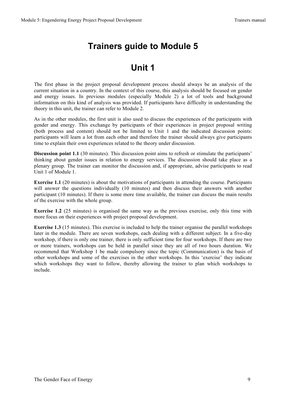### **Trainers guide to Module 5**

### **Unit 1**

The first phase in the project proposal development process should always be an analysis of the current situation in a country. In the context of this course, this analysis should be focused on gender and energy issues. In previous modules (especially Module 2) a lot of tools and background information on this kind of analysis was provided. If participants have difficulty in understanding the theory in this unit, the trainer can refer to Module 2.

As in the other modules, the first unit is also used to discuss the experiences of the participants with gender and energy. This exchange by participants of their experiences in project proposal writing (both process and content) should not be limited to Unit 1 and the indicated discussion points: participants will learn a lot from each other and therefore the trainer should always give participants time to explain their own experiences related to the theory under discussion.

**Discussion point 1.1** (30 minutes). This discussion point aims to refresh or stimulate the participants' thinking about gender issues in relation to energy services. The discussion should take place as a plenary group. The trainer can monitor the discussion and, if appropriate, advise participants to read Unit 1 of Module 1.

**Exercise 1.1** (20 minutes) is about the motivations of participants in attending the course. Participants will answer the questions individually (10 minutes) and then discuss their answers with another participant (10 minutes). If there is some more time available, the trainer can discuss the main results of the exercise with the whole group.

**Exercise 1.2** (25 minutes) is organised the same way as the previous exercise, only this time with more focus on their experiences with project proposal development.

**Exercise 1.3** (15 minutes). This exercise is included to help the trainer organise the parallel workshops later in the module. There are seven workshops, each dealing with a different subject. In a five-day workshop, if there is only one trainer, there is only sufficient time for four workshops. If there are two or more trainers, workshops can be held in parallel since they are all of two hours duration. We recommend that Workshop 1 be made compulsory since the topic (Communication) is the basis of other workshops and some of the exercises in the other workshops. In this 'exercise' they indicate which workshops they want to follow, thereby allowing the trainer to plan which workshops to include.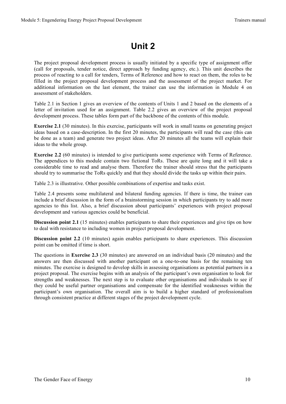### **Unit 2**

The project proposal development process is usually initiated by a specific type of assignment offer (call for proposals, tender notice, direct approach by funding agency, etc.). This unit describes the process of reacting to a call for tenders, Terms of Reference and how to react on them, the roles to be filled in the project proposal development process and the assessment of the project market. For additional information on the last element, the trainer can use the information in Module 4 on assessment of stakeholders.

Table 2.1 in Section 1 gives an overview of the contents of Units 1 and 2 based on the elements of a letter of invitation used for an assignment. Table 2.2 gives an overview of the project proposal development process. These tables form part of the backbone of the contents of this module.

**Exercise 2.1** (30 minutes). In this exercise, participants will work in small teams on generating project ideas based on a case-description. In the first 20 minutes, the participants will read the case (this can be done as a team) and generate two project ideas. After 20 minutes all the teams will explain their ideas to the whole group.

**Exercise 2.2** (60 minutes) is intended to give participants some experience with Terms of Reference. The appendices to this module contain two fictional ToRs. These are quite long and it will take a considerable time to read and analyse them. Therefore the trainer should stress that the participants should try to summarise the ToRs quickly and that they should divide the tasks up within their pairs.

Table 2.3 is illustrative. Other possible combinations of expertise and tasks exist.

Table 2.4 presents some multilateral and bilateral funding agencies. If there is time, the trainer can include a brief discussion in the form of a brainstorming session in which participants try to add more agencies to this list. Also, a brief discussion about participants' experiences with project proposal development and various agencies could be beneficial.

**Discussion point 2.1** (15 minutes) enables participants to share their experiences and give tips on how to deal with resistance to including women in project proposal development.

**Discussion point 2.2** (10 minutes) again enables participants to share experiences. This discussion point can be omitted if time is short.

The questions in **Exercise 2.3** (30 minutes) are answered on an individual basis (20 minutes) and the answers are then discussed with another participant on a one-to-one basis for the remaining ten minutes. The exercise is designed to develop skills in assessing organisations as potential partners in a project proposal. The exercise begins with an analysis of the participant's own organisation to look for strengths and weaknesses. The next step is to evaluate other organisations and individuals to see if they could be useful partner organisations and compensate for the identified weaknesses within the participant's own organisation. The overall aim is to build a higher standard of professionalism through consistent practice at different stages of the project development cycle.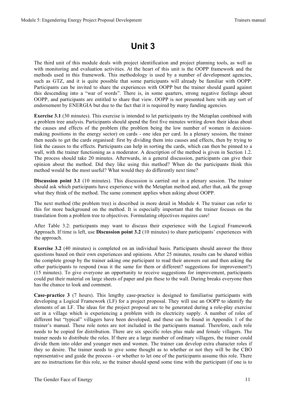### **Unit 3**

The third unit of this module deals with project identification and project planning tools, as well as with monitoring and evaluation activities. At the heart of this unit is the OOPP framework and the methods used in this framework. This methodology is used by a number of development agencies, such as GTZ, and it is quite possible that some participants will already be familiar with OOPP. Participants can be invited to share the experiences with OOPP but the trainer should guard against this descending into a "war of words". There is, in some quarters, strong negative feelings about OOPP, and participants are entitled to share that view. OOPP is not presented here with any sort of endorsement by ENERGIA but due to the fact that it is required by many funding agencies.

**Exercise 3.1** (30 minutes). This exercise is intended to let participants try the Metaplan combined with a problem tree analysis. Participants should spend the first five minutes writing down their ideas about the causes and effects of the problem (the problem being the low number of women in decisionmaking positions in the energy sector) on cards - one idea per card. In a plenary session, the trainer then needs to get the cards organised: first by dividing them into causes and effects, then by trying to link the causes to the effects. Participants can help in sorting the cards, which can then be pinned to a wall, with the trainer functioning as a moderator. A description of the method is given in Section 1.2. The process should take 20 minutes. Afterwards, in a general discussion, participants can give their opinion about the method. Did they like using this method? When do the participants think this method would be the most useful? What would they do differently next time?

**Discussion point 3.1** (10 minutes). This discussion is carried out in a plenary session. The trainer should ask which participants have experience with the Metaplan method and, after that, ask the group what they think of the method. The same comment applies when asking about OOPP.

The next method (the problem tree) is described in more detail in Module 4. The trainer can refer to this for more background on the method. It is especially important that the trainer focuses on the translation from a problem tree to objectives. Formulating objectives requires care!

After Table 3.2: participants may want to discuss their experience with the Logical Framework Approach. If time is left, use **Discussion point 3.2** (10 minutes) to share participants' experiences with the approach.

**Exercise 3.2** (40 minutes) is completed on an individual basis. Participants should answer the three questions based on their own experiences and opinions. After 25 minutes, results can be shared within the complete group by the trainer asking one participant to read their answers out and then asking the other participants to respond (was it the same for them or different? suggestions for improvement?) (15 minutes). To give everyone an opportunity to receive suggestions for improvement, participants could put their material on large sheets of paper and pin these to the wall. During breaks everyone then has the chance to look and comment.

**Case-practice 3** (7 hours). This lengthy case-practice is designed to familiarise participants with developing a Logical Framework (LF) for a project proposal. They will use an OOPP to identify the elements of an LF. The ideas for the project proposal are to be generated during a role-play exercise set in a village which is experiencing a problem with its electricity supply. A number of roles of different but "typical" villagers have been developed, and these can be found in Appendix 1 of the trainer's manual. These role notes are not included in the participants manual. Therefore, each role needs to be copied for distribution. There are six specific roles plus male and female villagers. The trainer needs to distribute the roles. If there are a large number of ordinary villagers, the trainer could divide them into older and younger men and women. The trainer can develop extra character roles if they so desire. The trainer needs to give some thought as to whether or not they will be the CBO representative and guide the process - or whether to let one of the participants assume this role. There are no instructions for this role, so the trainer should spend some time with the participant (if one is to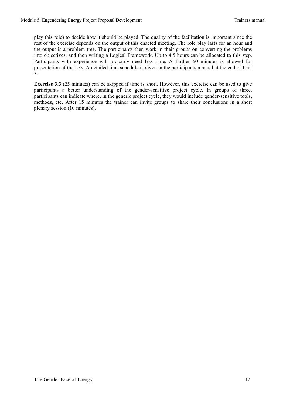play this role) to decide how it should be played. The quality of the facilitation is important since the rest of the exercise depends on the output of this enacted meeting. The role play lasts for an hour and the output is a problem tree. The participants then work in their groups on converting the problems into objectives, and then writing a Logical Framework. Up to 4.5 hours can be allocated to this step. Participants with experience will probably need less time. A further 60 minutes is allowed for presentation of the LFs. A detailed time schedule is given in the participants manual at the end of Unit 3.

**Exercise 3.3** (25 minutes) can be skipped if time is short. However, this exercise can be used to give participants a better understanding of the gender-sensitive project cycle. In groups of three, participants can indicate where, in the generic project cycle, they would include gender-sensitive tools, methods, etc. After 15 minutes the trainer can invite groups to share their conclusions in a short plenary session (10 minutes).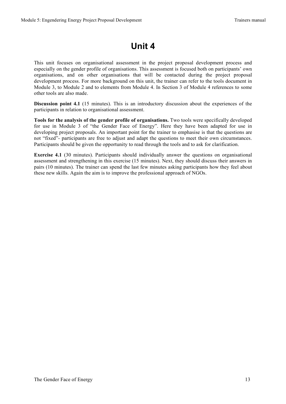### **Unit 4**

This unit focuses on organisational assessment in the project proposal development process and especially on the gender profile of organisations. This assessment is focused both on participants' own organisations, and on other organisations that will be contacted during the project proposal development process. For more background on this unit, the trainer can refer to the tools document in Module 3, to Module 2 and to elements from Module 4. In Section 3 of Module 4 references to some other tools are also made.

**Discussion point 4.1** (15 minutes). This is an introductory discussion about the experiences of the participants in relation to organisational assessment.

**Tools for the analysis of the gender profile of organisations.** Two tools were specifically developed for use in Module 3 of "the Gender Face of Energy". Here they have been adapted for use in developing project proposals. An important point for the trainer to emphasise is that the questions are not "fixed"- participants are free to adjust and adapt the questions to meet their own circumstances. Participants should be given the opportunity to read through the tools and to ask for clarification.

**Exercise 4.1** (30 minutes). Participants should individually answer the questions on organisational assessment and strengthening in this exercise (15 minutes). Next, they should discuss their answers in pairs (10 minutes). The trainer can spend the last few minutes asking participants how they feel about these new skills. Again the aim is to improve the professional approach of NGOs.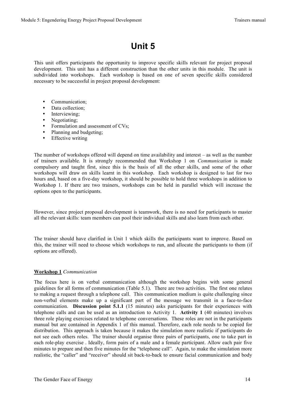### **Unit 5**

This unit offers participants the opportunity to improve specific skills relevant for project proposal development. This unit has a different construction than the other units in this module. The unit is subdivided into workshops. Each workshop is based on one of seven specific skills considered necessary to be successful in project proposal development:

- Communication;
- Data collection;
- Interviewing;
- Negotiating;
- Formulation and assessment of CVs;
- Planning and budgeting;
- Effective writing

The number of workshops offered will depend on time availability and interest – as well as the number of trainers available. It is strongly recommended that Workshop 1 on *Communication* is made compulsory and taught first, since this is the basis of all the other skills, and some of the other workshops will draw on skills learnt in this workshop. Each workshop is designed to last for two hours and, based on a five-day workshop, it should be possible to hold three workshops in addition to Workshop 1. If there are two trainers, workshops can be held in parallel which will increase the options open to the participants.

However, since project proposal development is teamwork, there is no need for participants to master all the relevant skills: team members can pool their individual skills and also learn from each other.

The trainer should have clarified in Unit 1 which skills the participants want to improve. Based on this, the trainer will need to choose which workshops to run, and allocate the participants to them (if options are offered).

#### **Workshop 1** *Communication*

The focus here is on verbal communication although the workshop begins with some general guidelines for all forms of communication (Table 5.1). There are two activities. The first one relates to making a request through a telephone call. This communication medium is quite challenging since non-verbal elements make up a significant part of the message we transmit in a face-to-face communication. **Discussion point 5.1.1** (15 minutes) asks participants for their experiences with telephone calls and can be used as an introduction to Activity 1. **Activity 1** (40 minutes) involves three role playing exercises related to telephone conversations. These roles are not in the participants manual but are contained in Appendix 1 of this manual. Therefore, each role needs to be copied for distribution. This approach is taken because it makes the simulation more realistic if participants do not see each others roles. The trainer should organise three pairs of participants, one to take part in each role-play exercise . Ideally, form pairs of a male and a female participant. Allow each pair five minutes to prepare and then five minutes for the "telephone call". Again, to make the simulation more realistic, the "caller" and "receiver" should sit back-to-back to ensure facial communication and body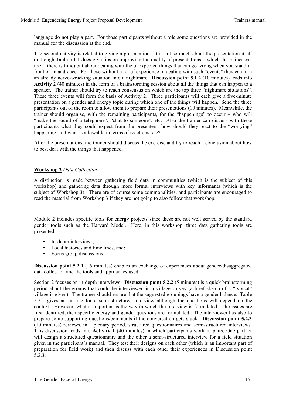language do not play a part. For those participants without a role some questions are provided in the manual for the discussion at the end.

The second activity is related to giving a presentation. It is not so much about the presentation itself (although Table 5.1.1 does give tips on improving the quality of presentations – which the trainer can use if there is time) but about dealing with the unexpected things that can go wrong when you stand in front of an audience. For those without a lot of experience in dealing with such "events" they can turn an already nerve-wracking situation into a nightmare. **Discussion point 5.1.2** (10 minutes) leads into **Activity 2** (40 minutes) in the form of a brainstorming session about all the things that can happen to a speaker. The trainer should try to reach consensus on which are the top three "nightmare situations". These three events will form the basis of Activity 2. Three participants will each give a five-minute presentation on a gender and energy topic during which one of the things will happen. Send the three participants out of the room to allow them to prepare their presentations (10 minutes). Meanwhile, the trainer should organise, with the remaining participants, for the "happenings" to occur – who will "make the sound of a telephone", "chat to someone", etc. Also the trainer can discuss with these participants what they could expect from the presenters: how should they react to the "worrying" happening, and what is allowable in terms of reactions, etc?

After the presentations, the trainer should discuss the exercise and try to reach a conclusion about how to best deal with the things that happened.

#### **Workshop 2** *Data Collection*

A distinction is made between gathering field data in communities (which is the subject of this workshop) and gathering data through more formal interviews with key informants (which is the subject of Workshop 3). There are of course some commonalities, and participants are encouraged to read the material from Workshop 3 if they are not going to also follow that workshop.

Module 2 includes specific tools for energy projects since these are not well served by the standard gender tools such as the Harvard Model. Here, in this workshop, three data gathering tools are presented:

- In-depth interviews:
- Local histories and time lines, and:
- Focus group discussions

**Discussion point 5.2.1** (15 minutes) enables an exchange of experiences about gender-disaggregated data collection and the tools and approaches used.

Section 2 focuses on in-depth interviews. **Discussion point 5.2.2** (5 minutes) is a quick brainstorming period about the groups that could be interviewed in a village survey (a brief sketch of a "typical" village is given). The trainer should ensure that the suggested groupings have a gender balance. Table 5.2.1 gives an outline for a semi-structured interview although the questions will depend on the context. However, what is important is the way in which the interview is formulated. The issues are first identified, then specific energy and gender questions are formulated. The interviewer has also to prepare some supporting questions/comments if the conversation gets stuck. **Discussion point 5.2.3** (10 minutes) reviews, in a plenary period, structured questionnaires and semi-structured interviews. This discussion leads into **Activity 1** (40 minutes) in which participants work in pairs. One partner will design a structured questionnaire and the other a semi-structured interview for a field situation given in the participant's manual. They test their designs on each other (which is an important part of preparation for field work) and then discuss with each other their experiences in Discussion point 5.2.3.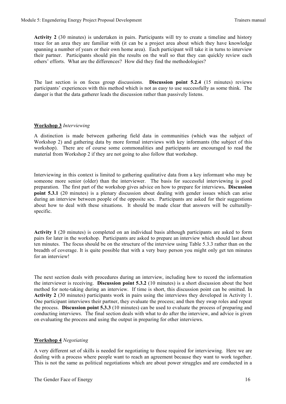**Activity 2** (30 minutes) is undertaken in pairs. Participants will try to create a timeline and history trace for an area they are familiar with (it can be a project area about which they have knowledge spanning a number of years or their own home area). Each participant will take it in turns to interview their partner. Participants should pin the results on the wall so that they can quickly review each others' efforts. What are the differences? How did they find the methodologies?

The last section is on focus group discussions. **Discussion point 5.2.4** (15 minutes) reviews participants' experiences with this method which is not as easy to use successfully as some think. The danger is that the data gatherer leads the discussion rather than passively listens.

#### **Workshop 3** *Interviewing*

A distinction is made between gathering field data in communities (which was the subject of Workshop 2) and gathering data by more formal interviews with key informants (the subject of this workshop). There are of course some commonalities and participants are encouraged to read the material from Workshop 2 if they are not going to also follow that workshop.

Interviewing in this context is limited to gathering qualitative data from a key informant who may be someone more senior (older) than the interviewer. The basis for successful interviewing is good preparation. The first part of the workshop gives advice on how to prepare for interviews**. Discussion point 5.3.1** (20 minutes) is a plenary discussion about dealing with gender issues which can arise during an interview between people of the opposite sex. Participants are asked for their suggestions about how to deal with these situations. It should be made clear that answers will be culturallyspecific.

**Activity 1** (20 minutes) is completed on an individual basis although participants are asked to form pairs for later in the workshop. Participants are asked to prepare an interview which should last about ten minutes. The focus should be on the structure of the interview using Table 5.3.3 rather than on the breadth of coverage. It is quite possible that with a very busy person you might only get ten minutes for an interview!

The next section deals with procedures during an interview, including how to record the information the interviewer is receiving. **Discussion point 5.3.2** (10 minutes) is a short discussion about the best method for note-taking during an interview. If time is short, this discussion point can be omitted. In **Activity 2** (30 minutes) participants work in pairs using the interviews they developed in Activity 1. One participant interviews their partner, they evaluate the process; and then they swap roles and repeat the process. **Discussion point 5.3.3** (10 minutes) can be used to evaluate the process of preparing and conducting interviews. The final section deals with what to do after the interview, and advice is given on evaluating the process and using the output in preparing for other interviews.

#### **Workshop 4** *Negotiating*

A very different set of skills is needed for negotiating to those required for interviewing. Here we are dealing with a process where people want to reach an agreement because they want to work together. This is not the same as political negotiations which are about power struggles and are conducted in a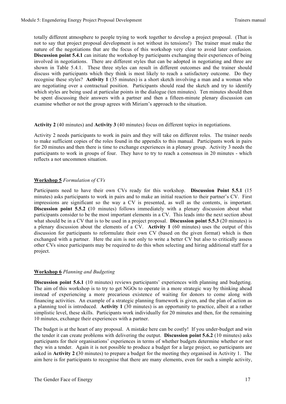totally different atmosphere to people trying to work together to develop a project proposal. (That is not to say that project proposal development is not without its tensions!) The trainer must make the nature of the negotiations that are the focus of this workshop very clear to avoid later confusion. **Discussion point 5.4.1** can initiate the workshop by participants exchanging their experiences of being involved in negotiations. There are different styles that can be adopted in negotiating and three are shown in Table 5.4.1. These three styles can result in different outcomes and the trainer should discuss with participants which they think is most likely to reach a satisfactory outcome. Do they recognise these styles? **Activity 1** (35 minutes) is a short sketch involving a man and a woman who are negotiating over a contractual position. Participants should read the sketch and try to identify which styles are being used at particular points in the dialogue (ten minutes). Ten minutes should then be spent discussing their answers with a partner and then a fifteen-minute plenary discussion can examine whether or not the group agrees with Miriam's approach to the situation.

**Activity 2** (40 minutes) and **Activity 3** (40 minutes) focus on different topics in negotiations.

Activity 2 needs participants to work in pairs and they will take on different roles. The trainer needs to make sufficient copies of the roles found in the appendix to this manual. Participants work in pairs for 20 minutes and then there is time to exchange experiences in a plenary group. Activity 3 needs the participants to work in groups of four. They have to try to reach a consensus in 20 minutes - which reflects a not uncommon situation.

#### **Workshop 5** *Formulation of CVs*

Participants need to have their own CVs ready for this workshop. **Discussion Point 5.5.1** (15 minutes) asks participants to work in pairs and to make an initial reaction to their partner's CV. First impressions are significant so the way a CV is presented, as well as the contents, is important. **Discussion point 5.5.2 (**10 minutes) follows immediately with a plenary discussion about what participants consider to be the most important elements in a CV. This leads into the next section about what should be in a CV that is to be used in a project proposal. **Discussion point 5.5.3** (20 minutes) is a plenary discussion about the elements of a CV. **Activity 1** (60 minutes) uses the output of this discussion for participants to reformulate their own CV (based on the given format) which is then exchanged with a partner. Here the aim is not only to write a better CV but also to critically assess other CVs since participants may be required to do this when selecting and hiring additional staff for a project.

#### **Workshop 6** *Planning and Budgeting*

**Discussion point 5.6.1** (10 minutes) reviews participants' experiences with planning and budgeting. The aim of this workshop is to try to get NGOs to operate in a more strategic way by thinking ahead instead of experiencing a more precarious existence of waiting for donors to come along with financing activities. An example of a strategic planning framework is given, and the plan of action as a planning tool is introduced. **Activity 1** (30 minutes) is an opportunity to practice, albeit at a rather simplistic level, these skills. Participants work individually for 20 minutes and then, for the remaining 10 minutes, exchange their experiences with a partner.

The budget is at the heart of any proposal. A mistake here can be costly! If you under-budget and win the tender it can create problems with delivering the output. **Discussion point 5.6.2** (10 minutes) asks participants for their organisations' experiences in terms of whether budgets determine whether or not they win a tender. Again it is not possible to produce a budget for a large project, so participants are asked in **Activity 2 (**30 minutes) to prepare a budget for the meeting they organised in Activity 1. The aim here is for participants to recognise that there are many elements, even for such a simple activity,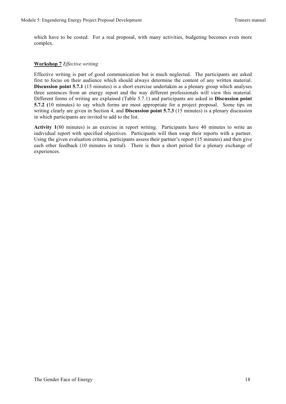which have to be costed. For a real proposal, with many activities, budgeting becomes even more complex.

#### **Workshop 7** *Effective writing*

Effective writing is part of good communication but is much neglected. The participants are asked first to focus on their audience which should always determine the content of any written material. **Discussion point 5.7.1** (15 minutes) is a short exercise undertaken as a plenary group which analyses three sentences from an energy report and the way different professionals will view this material. Different forms of writing are explained (Table 5.7.1) and participants are asked in **Discussion point 5.7.2 (**10 minutes) to say which forms are most appropriate for a project proposal. Some tips on writing clearly are given in Section 4, and **Discussion point 5.7.3** (15 minutes) is a plenary discussion in which participants are invited to add to the list.

**Activity 1**(80 minutes) is an exercise in report writing. Participants have 40 minutes to write an individual report with specified objectives. Participants will then swap their reports with a partner. Using the given evaluation criteria, participants assess their partner's report (15 minutes) and then give each other feedback (10 minutes in total). There is then a short period for a plenary exchange of experiences.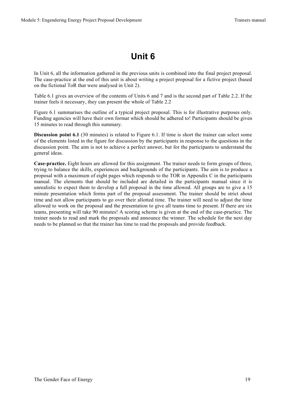# **Unit 6**

In Unit 6, all the information gathered in the previous units is combined into the final project proposal. The case-practice at the end of this unit is about writing a project proposal for a fictive project (based on the fictional ToR that were analysed in Unit 2).

Table 6.1 gives an overview of the contents of Units 6 and 7 and is the second part of Table 2.2. If the trainer feels it necessary, they can present the whole of Table 2.2

Figure 6.1 summarises the outline of a typical project proposal. This is for illustrative purposes only. Funding agencies will have their own format which should be adhered to! Participants should be given 15 minutes to read through this summary.

**Discussion point 6.1** (30 minutes) is related to Figure 6.1. If time is short the trainer can select some of the elements listed in the figure for discussion by the participants in response to the questions in the discussion point. The aim is not to achieve a perfect answer, but for the participants to understand the general ideas.

**Case-practice.** Eight hours are allowed for this assignment. The trainer needs to form groups of three, trying to balance the skills, experiences and backgrounds of the participants. The aim is to produce a proposal with a maximum of eight pages which responds to the TOR in Appendix C in the participants manual. The elements that should be included are detailed in the participants manual since it is unrealistic to expect them to develop a full proposal in the time allowed. All groups are to give a 15 minute presentation which forms part of the proposal assessment. The trainer should be strict about time and not allow participants to go over their allotted time. The trainer will need to adjust the time allowed to work on the proposal and the presentation to give all teams time to present. If there are six teams, presenting will take 90 minutes! A scoring scheme is given at the end of the case-practice. The trainer needs to read and mark the proposals and announce the winner. The schedule for the next day needs to be planned so that the trainer has time to read the proposals and provide feedback.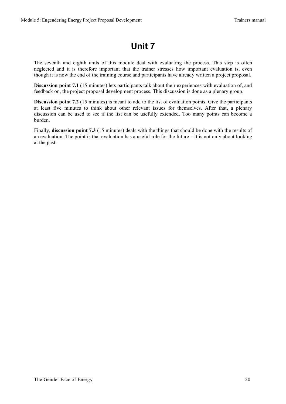### **Unit 7**

The seventh and eighth units of this module deal with evaluating the process. This step is often neglected and it is therefore important that the trainer stresses how important evaluation is, even though it is now the end of the training course and participants have already written a project proposal.

**Discussion point 7.1** (15 minutes) lets participants talk about their experiences with evaluation of, and feedback on, the project proposal development process. This discussion is done as a plenary group.

**Discussion point 7.2** (15 minutes) is meant to add to the list of evaluation points. Give the participants at least five minutes to think about other relevant issues for themselves. After that, a plenary discussion can be used to see if the list can be usefully extended. Too many points can become a burden.

Finally, **discussion point 7.3** (15 minutes) deals with the things that should be done with the results of an evaluation. The point is that evaluation has a useful role for the future – it is not only about looking at the past.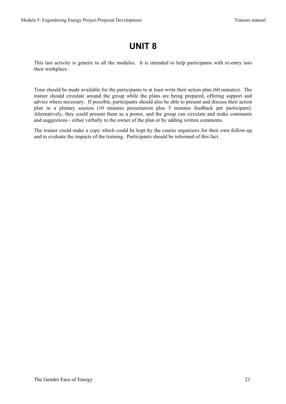### **UNIT 8**

This last activity is generic to all the modules. It is intended to help participants with re-entry into their workplace.

Time should be made available for the participants to at least write their action plan (60 minutes). The trainer should circulate around the group while the plans are being prepared, offering support and advice where necessary. If possible, participants should also be able to present and discuss their action plan in a plenary session (10 minutes presentation plus 5 minutes feedback per participant). Alternatively, they could present them as a poster, and the group can circulate and make comments and suggestions - either verbally to the owner of the plan or by adding written comments.

The trainer could make a copy which could be kept by the course organisers for their own follow-up and to evaluate the impacts of the training. Participants should be informed of this fact.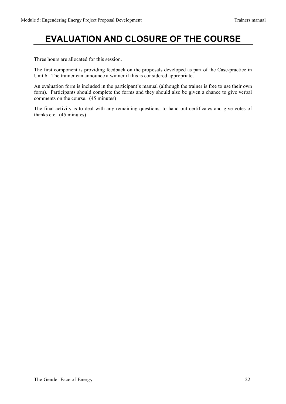# **EVALUATION AND CLOSURE OF THE COURSE**

Three hours are allocated for this session.

The first component is providing feedback on the proposals developed as part of the Case-practice in Unit 6. The trainer can announce a winner if this is considered appropriate.

An evaluation form is included in the participant's manual (although the trainer is free to use their own form). Participants should complete the forms and they should also be given a chance to give verbal comments on the course. (45 minutes)

The final activity is to deal with any remaining questions, to hand out certificates and give votes of thanks etc. (45 minutes)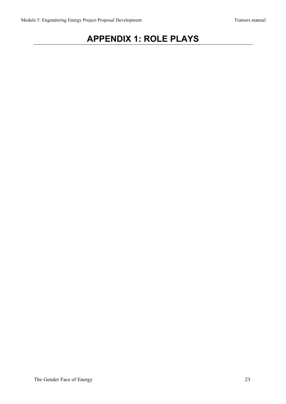# **APPENDIX 1: ROLE PLAYS**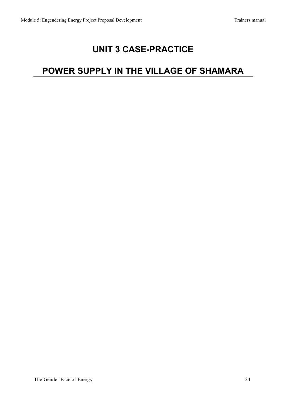### **UNIT 3 CASE-PRACTICE**

# **POWER SUPPLY IN THE VILLAGE OF SHAMARA**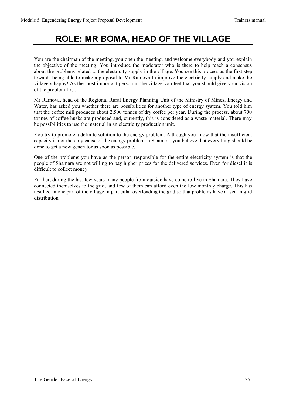### **ROLE: MR BOMA, HEAD OF THE VILLAGE**

You are the chairman of the meeting, you open the meeting, and welcome everybody and you explain the objective of the meeting. You introduce the moderator who is there to help reach a consensus about the problems related to the electricity supply in the village. You see this process as the first step towards being able to make a proposal to Mr Rumova to improve the electricity supply and make the villagers happy! As the most important person in the village you feel that you should give your vision of the problem first.

Mr Ramova, head of the Regional Rural Energy Planning Unit of the Ministry of Mines, Energy and Water, has asked you whether there are possibilities for another type of energy system. You told him that the coffee mill produces about 2,500 tonnes of dry coffee per year. During the process, about 700 tonnes of coffee husks are produced and, currently, this is considered as a waste material. There may be possibilities to use the material in an electricity production unit.

You try to promote a definite solution to the energy problem. Although you know that the insufficient capacity is not the only cause of the energy problem in Shamara, you believe that everything should be done to get a new generator as soon as possible.

One of the problems you have as the person responsible for the entire electricity system is that the people of Shamara are not willing to pay higher prices for the delivered services. Even for diesel it is difficult to collect money.

Further, during the last few years many people from outside have come to live in Shamara. They have connected themselves to the grid, and few of them can afford even the low monthly charge. This has resulted in one part of the village in particular overloading the grid so that problems have arisen in grid distribution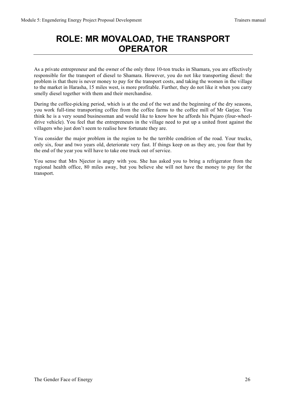### **ROLE: MR MOVALOAD, THE TRANSPORT OPERATOR**

As a private entrepreneur and the owner of the only three 10-ton trucks in Shamara, you are effectively responsible for the transport of diesel to Shamara. However, you do not like transporting diesel: the problem is that there is never money to pay for the transport costs, and taking the women in the village to the market in Harasha, 15 miles west, is more profitable. Further, they do not like it when you carry smelly diesel together with them and their merchandise.

During the coffee-picking period, which is at the end of the wet and the beginning of the dry seasons, you work full-time transporting coffee from the coffee farms to the coffee mill of Mr Garjee. You think he is a very sound businessman and would like to know how he affords his Pujaro (four-wheeldrive vehicle). You feel that the entrepreneurs in the village need to put up a united front against the villagers who just don't seem to realise how fortunate they are.

You consider the major problem in the region to be the terrible condition of the road. Your trucks, only six, four and two years old, deteriorate very fast. If things keep on as they are, you fear that by the end of the year you will have to take one truck out of service.

You sense that Mrs Njector is angry with you. She has asked you to bring a refrigerator from the regional health office, 80 miles away, but you believe she will not have the money to pay for the transport.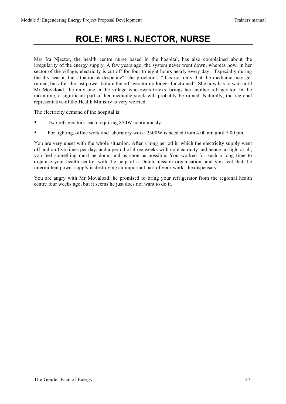### **ROLE: MRS I. NJECTOR, NURSE**

Mrs Ira Njector, the health centre nurse based in the hospital, has also complained about the irregularity of the energy supply. A few years ago, the system never went down, whereas now, in her sector of the village, electricity is cut off for four to eight hours nearly every day. "Especially during the dry season the situation is desperate", she proclaims. "It is not only that the medicine may get ruined, but after the last power failure the refrigerator no longer functioned". She now has to wait until Mr Movaload, the only one in the village who owns trucks, brings her another refrigerator. In the meantime, a significant part of her medicine stock will probably be ruined. Naturally, the regional representative of the Health Ministry is very worried.

The electricity demand of the hospital is:

- Two refrigerators: each requiring 850W continuously;
- For lighting, office work and laboratory work: 2300W is needed from 4.00 am until 7.00 pm.

You are very upset with the whole situation. After a long period in which the electricity supply went off and on five times per day, and a period of three weeks with no electricity and hence no light at all, you feel something must be done, and as soon as possible. You worked for such a long time to organise your health centre, with the help of a Dutch mission organisation, and you feel that the intermittent power supply is destroying an important part of your work: the dispensary.

You are angry with Mr Movaload: he promised to bring your refrigerator from the regional health centre four weeks ago, but it seems he just does not want to do it.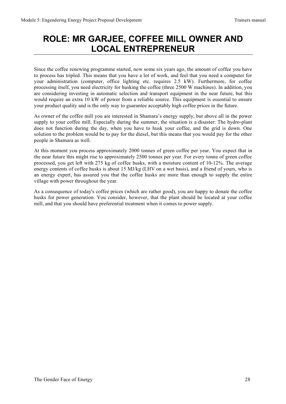### **ROLE: MR GARJEE, COFFEE MILL OWNER AND LOCAL ENTREPRENEUR**

Since the coffee renewing programme started, now some six years ago, the amount of coffee you have to process has tripled. This means that you have a lot of work, and feel that you need a computer for your administration (computer, office lighting etc. requires 2.5 kW). Furthermore, for coffee processing itself, you need electricity for husking the coffee (three 2500 W machines). In addition, you are considering investing in automatic selection and transport equipment in the near future, but this would require an extra 10 kW of power from a reliable source. This equipment is essential to ensure your product quality and is the only way to guarantee acceptably high coffee prices in the future.

As owner of the coffee mill you are interested in Shamara's energy supply, but above all in the power supply to your coffee mill. Especially during the summer, the situation is a disaster: The hydro-plant does not function during the day, when you have to husk your coffee, and the grid is down. One solution to the problem would be to pay for the diesel, but this means that you would pay for the other people in Shamara as well.

At this moment you process approximately 2000 tonnes of green coffee per year. You expect that in the near future this might rise to approximately 2500 tonnes per year. For every tonne of green coffee processed, you get left with 275 kg of coffee husks, with a moisture content of 10-12%. The average energy contents of coffee husks is about 15 MJ/kg (LHV on a wet basis), and a friend of yours, who is an energy expert, has assured you that the coffee husks are more than enough to supply the entire village with power throughout the year.

As a consequence of today's coffee prices (which are rather good), you are happy to donate the coffee husks for power generation. You consider, however, that the plant should be located at your coffee mill, and that you should have preferential treatment when it comes to power supply.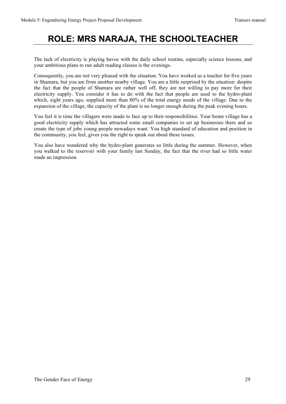### **ROLE: MRS NARAJA, THE SCHOOLTEACHER**

The lack of electricity is playing havoc with the daily school routine, especially science lessons, and your ambitious plans to run adult reading classes is the evenings.

Consequently, you are not very pleased with the situation. You have worked as a teacher for five years in Shamara, but you are from another nearby village. You are a little surprised by the situation: despite the fact that the people of Shamara are rather well off, they are not willing to pay more for their electricity supply. You consider it has to do with the fact that people are used to the hydro-plant which, eight years ago, supplied more than 80% of the total energy needs of the village. Due to the expansion of the village, the capacity of the plant is no longer enough during the peak evening hours.

You feel it is time the villagers were made to face up to their responsibilities. Your home village has a good electricity supply which has attracted some small companies to set up businesses there and so create the type of jobs young people nowadays want. You high standard of education and position in the community, you feel, gives you the right to speak out about these issues.

You also have wondered why the hydro-plant generates so little during the summer. However, when you walked to the reservoir with your family last Sunday, the fact that the river had so little water made an impression.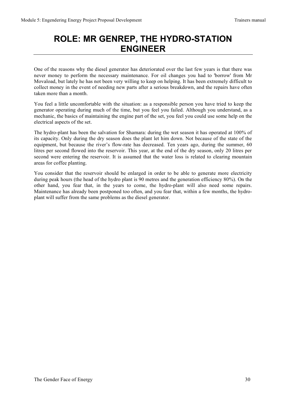### **ROLE: MR GENREP, THE HYDRO-STATION ENGINEER**

One of the reasons why the diesel generator has deteriorated over the last few years is that there was never money to perform the necessary maintenance. For oil changes you had to 'borrow' from Mr Movaload, but lately he has not been very willing to keep on helping. It has been extremely difficult to collect money in the event of needing new parts after a serious breakdown, and the repairs have often taken more than a month.

You feel a little uncomfortable with the situation: as a responsible person you have tried to keep the generator operating during much of the time, but you feel you failed. Although you understand, as a mechanic, the basics of maintaining the engine part of the set, you feel you could use some help on the electrical aspects of the set.

The hydro-plant has been the salvation for Shamara: during the wet season it has operated at 100% of its capacity. Only during the dry season does the plant let him down. Not because of the state of the equipment, but because the river's flow-rate has decreased. Ten years ago, during the summer, 60 litres per second flowed into the reservoir. This year, at the end of the dry season, only 20 litres per second were entering the reservoir. It is assumed that the water loss is related to clearing mountain areas for coffee planting.

You consider that the reservoir should be enlarged in order to be able to generate more electricity during peak hours (the head of the hydro plant is 90 metres and the generation efficiency 80%). On the other hand, you fear that, in the years to come, the hydro-plant will also need some repairs. Maintenance has already been postponed too often, and you fear that, within a few months, the hydroplant will suffer from the same problems as the diesel generator.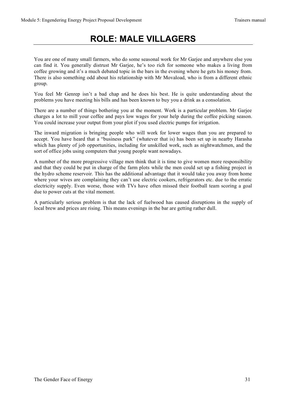### **ROLE: MALE VILLAGERS**

You are one of many small farmers, who do some seasonal work for Mr Garjee and anywhere else you can find it. You generally distrust Mr Garjee, he's too rich for someone who makes a living from coffee growing and it's a much debated topic in the bars in the evening where he gets his money from. There is also something odd about his relationship with Mr Movaload, who is from a different ethnic group.

You feel Mr Genrep isn't a bad chap and he does his best. He is quite understanding about the problems you have meeting his bills and has been known to buy you a drink as a consolation.

There are a number of things bothering you at the moment. Work is a particular problem. Mr Garjee charges a lot to mill your coffee and pays low wages for your help during the coffee picking season. You could increase your output from your plot if you used electric pumps for irrigation.

The inward migration is bringing people who will work for lower wages than you are prepared to accept. You have heard that a "business park" (whatever that is) has been set up in nearby Harasha which has plenty of job opportunities, including for unskilled work, such as nightwatchmen, and the sort of office jobs using computers that young people want nowadays.

A number of the more progressive village men think that it is time to give women more responsibility and that they could be put in charge of the farm plots while the men could set up a fishing project in the hydro scheme reservoir. This has the additional advantage that it would take you away from home where your wives are complaining they can't use electric cookers, refrigerators etc. due to the erratic electricity supply. Even worse, those with TVs have often missed their football team scoring a goal due to power cuts at the vital moment.

A particularly serious problem is that the lack of fuelwood has caused disruptions in the supply of local brew and prices are rising. This means evenings in the bar are getting rather dull.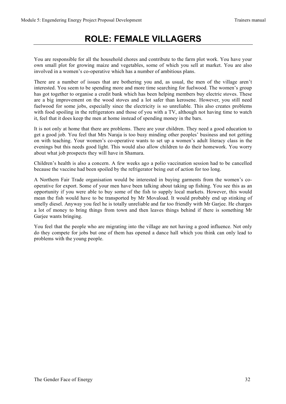### **ROLE: FEMALE VILLAGERS**

You are responsible for all the household chores and contribute to the farm plot work. You have your own small plot for growing maize and vegetables, some of which you sell at market. You are also involved in a women's co-operative which has a number of ambitious plans.

There are a number of issues that are bothering you and, as usual, the men of the village aren't interested. You seem to be spending more and more time searching for fuelwood. The women's group has got together to organise a credit bank which has been helping members buy electric stoves. These are a big improvement on the wood stoves and a lot safer than kerosene. However, you still need fuelwood for some jobs, especially since the electricity is so unreliable. This also creates problems with food spoiling in the refrigerators and those of you with a TV, although not having time to watch it, feel that it does keep the men at home instead of spending money in the bars.

It is not only at home that there are problems. There are your children. They need a good education to get a good job. You feel that Mrs Naraja is too busy minding other peoples' business and not getting on with teaching. Your women's co-operative wants to set up a women's adult literacy class in the evenings but this needs good light. This would also allow children to do their homework. You worry about what job prospects they will have in Shamara.

Children's health is also a concern. A few weeks ago a polio vaccination session had to be cancelled because the vaccine had been spoiled by the refrigerator being out of action for too long.

A Northern Fair Trade organisation would be interested in buying garments from the women's cooperative for export. Some of your men have been talking about taking up fishing. You see this as an opportunity if you were able to buy some of the fish to supply local markets. However, this would mean the fish would have to be transported by Mr Movaload. It would probably end up stinking of smelly diesel. Anyway you feel he is totally unreliable and far too friendly with Mr Garjee. He charges a lot of money to bring things from town and then leaves things behind if there is something Mr Garjee wants bringing.

You feel that the people who are migrating into the village are not having a good influence. Not only do they compete for jobs but one of them has opened a dance hall which you think can only lead to problems with the young people.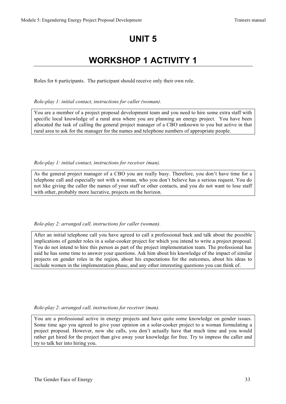### **UNIT 5**

# **WORKSHOP 1 ACTIVITY 1**

Roles for 6 participants. The participant should receive only their own role.

*Role-play 1: initial contact, instructions for caller (woman).*

You are a member of a project proposal development team and you need to hire some extra staff with specific local knowledge of a rural area where you are planning an energy project. You have been allocated the task of calling the general project manager of a CBO unknown to you but active in that rural area to ask for the manager for the names and telephone numbers of appropriate people.

*Role-play 1: initial contact, instructions for receiver (man).*

As the general project manager of a CBO you are really busy. Therefore, you don't have time for a telephone call and especially not with a woman, who you don't believe has a serious request. You do not like giving the caller the names of your staff or other contacts, and you do not want to lose staff with other, probably more lucrative, projects on the horizon.

*Role-play 2: arranged call, instructions for caller (woman).*

After an initial telephone call you have agreed to call a professional back and talk about the possible implications of gender roles in a solar-cooker project for which you intend to write a project proposal. You do not intend to hire this person as part of the project implementation team. The professional has said he has some time to answer your questions. Ask him about his knowledge of the impact of similar projects on gender roles in the region, about his expectations for the outcomes, about his ideas to include women in the implementation phase, and any other interesting questions you can think of.

*Role-play 2: arranged call, instructions for receiver (man).*

You are a professional active in energy projects and have quite some knowledge on gender issues. Some time ago you agreed to give your opinion on a solar-cooker project to a woman formulating a project proposal. However, now she calls, you don't actually have that much time and you would rather get hired for the project than give away your knowledge for free. Try to impress the caller and try to talk her into hiring you.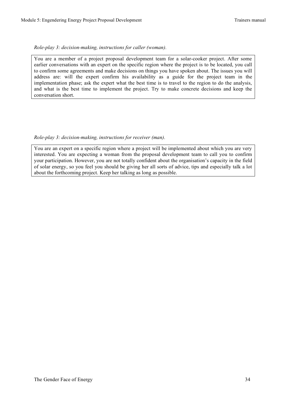#### *Role-play 3: decision-making, instructions for caller (woman).*

You are a member of a project proposal development team for a solar-cooker project. After some earlier conversations with an expert on the specific region where the project is to be located, you call to confirm some agreements and make decisions on things you have spoken about. The issues you will address are: will the expert confirm his availability as a guide for the project team in the implementation phase; ask the expert what the best time is to travel to the region to do the analysis, and what is the best time to implement the project. Try to make concrete decisions and keep the conversation short.

#### *Role-play 3: decision-making, instructions for receiver (man).*

You are an expert on a specific region where a project will be implemented about which you are very interested. You are expecting a woman from the proposal development team to call you to confirm your participation. However, you are not totally confident about the organisation's capacity in the field of solar energy, so you feel you should be giving her all sorts of advice, tips and especially talk a lot about the forthcoming project. Keep her talking as long as possible.